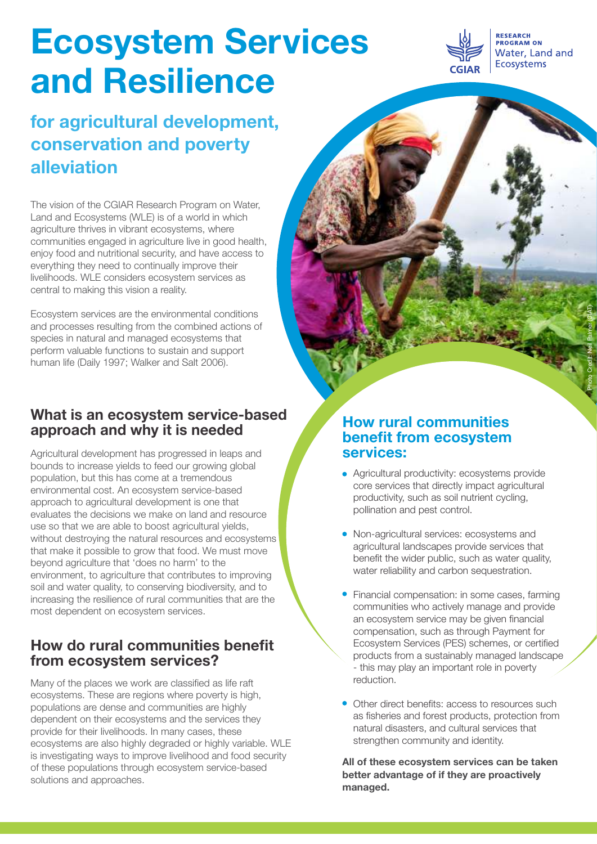# **Ecosystem Services and Resilience**

# **for agricultural development, conservation and poverty alleviation**

The vision of the CGIAR Research Program on Water, Land and Ecosystems (WLE) is of a world in which agriculture thrives in vibrant ecosystems, where communities engaged in agriculture live in good health, enjoy food and nutritional security, and have access to everything they need to continually improve their livelihoods. WLE considers ecosystem services as central to making this vision a reality.

Ecosystem services are the environmental conditions and processes resulting from the combined actions of species in natural and managed ecosystems that perform valuable functions to sustain and support human life (Daily 1997; Walker and Salt 2006).

## **What is an ecosystem service-based approach and why it is needed**

Agricultural development has progressed in leaps and bounds to increase yields to feed our growing global population, but this has come at a tremendous environmental cost. An ecosystem service-based approach to agricultural development is one that evaluates the decisions we make on land and resource use so that we are able to boost agricultural yields, without destroying the natural resources and ecosystems that make it possible to grow that food. We must move beyond agriculture that 'does no harm'to the environment, to agriculture that contributes to improving soil and water quality, to conserving biodiversity, and to increasing the resilience of rural communities that are the most dependent on ecosystem services.

# **How do rural communities benefit from ecosystem services?**

Many of the places we work are classified as life raft ecosystems. These are regions where poverty is high, populations are dense and communities are highly dependent on their ecosystems and the services they provide for their livelihoods. In many cases, these ecosystems are also highly degraded or highly variable. WLE is investigating ways to improve livelihood and food security of these populations through ecosystem service-based solutions and approaches.

### **How rural communities benefit from ecosystem services:**

- Agricultural productivity: ecosystems provide core services that directly impact agricultural productivity, such as soil nutrient cycling, pollination and pest control.
- Non-agricultural services: ecosystems and agricultural landscapes provide services that benefit the wider public, such as water quality, water reliability and carbon sequestration.
- Financial compensation: in some cases, farming communities who actively manage and provide an ecosystem service may be given financial compensation, such as through Payment for Ecosystem Services (PES) schemes, or certified products from a sustainably managed landscape - this may play an important role in poverty reduction.
- Other direct benefits: access to resources such as fisheries and forest products, protection from natural disasters, and cultural services that strengthen community and identity.

**All of these ecosystem services can be taken better advantage of if they are proactively managed.**



Photo Credit: Neil Palmer (CIAT)